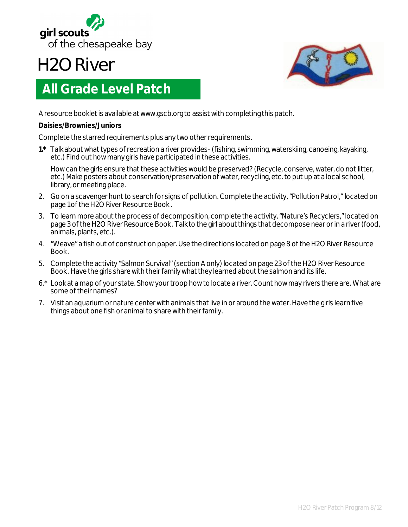

## **H2O River**



## **All Grade Level Patch**

A resource booklet is available at www.gscb.org to assist with completing this patch.

## **Daisies/Brownies/Juniors**

Complete the starred requirements plus any two other requirements.

**1.\*** Talk about what types of recreation a river provides-(fishing, swimming, waterskiing, canoeing, kayaking, etc.) Find out how many girls have participated in these activities.

How can the girls ensure that these activities would be preserved? (Recycle, conserve, water, do not litter, etc.) Make posters about conservation/preservation of water, recycling, etc. to put up at a local school, library, or meeting place.

- 2. Go on a scavenger hunt to search for signs of pollution. Complete the activity, "Pollution Patrol," located on page 1 of the H2O River Resource Book .
- 3. To learn more about the process of decomposition, complete the activity, "Nature's Recyclers," located on page 3 of the H2O River Resource Book . Talk to the girl about things that decompose near or in a river (food, animals, plants, etc.).
- 4. "Weave" a fish out of construction paper. Use the directions located on page 8 of the H2O River Resource Book .
- 5. Complete the activity "Salmon Survival" (section A only) located on page 23 of the H2O River Resource Book . Have the girls share with their family what they learned about the salmon and its life.
- 6.\* Look at a map of your state. Show your troop how to locate a river. Count how may rivers there are. What are some of their names?
- 7. Visit an aquarium or nature center with animals that live in or around the water. Have the girls learn five things about one fish or animal to share with their family.